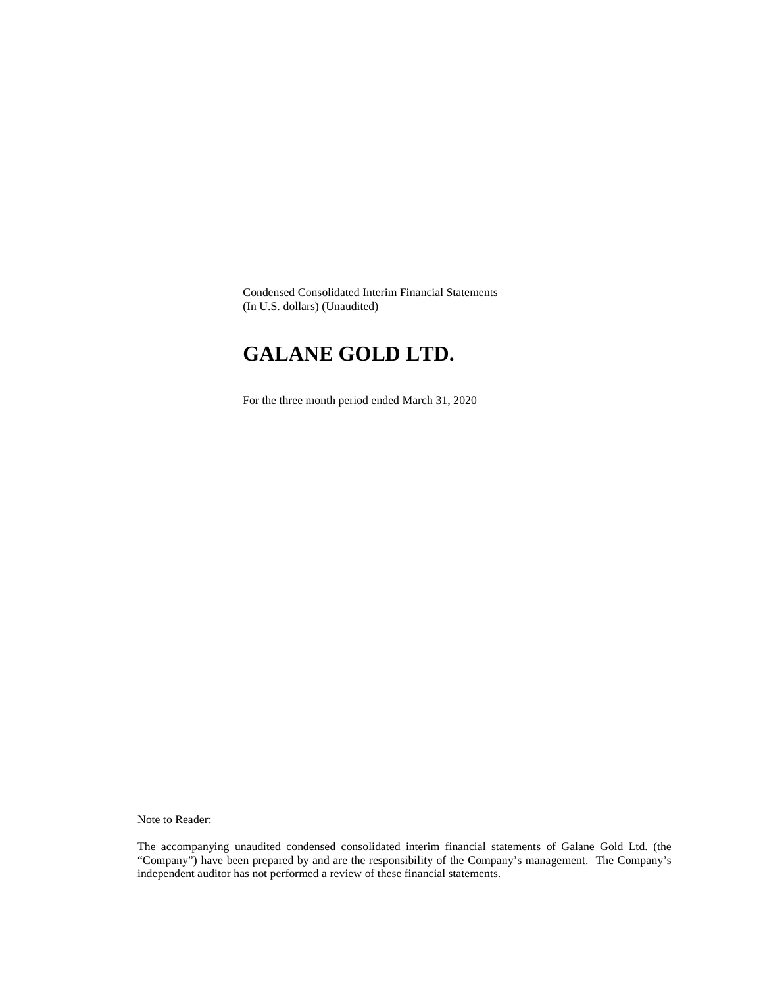Condensed Consolidated Interim Financial Statements (In U.S. dollars) (Unaudited)

# **GALANE GOLD LTD.**

For the three month period ended March 31, 2020

Note to Reader:

The accompanying unaudited condensed consolidated interim financial statements of Galane Gold Ltd. (the "Company") have been prepared by and are the responsibility of the Company's management. The Company's independent auditor has not performed a review of these financial statements.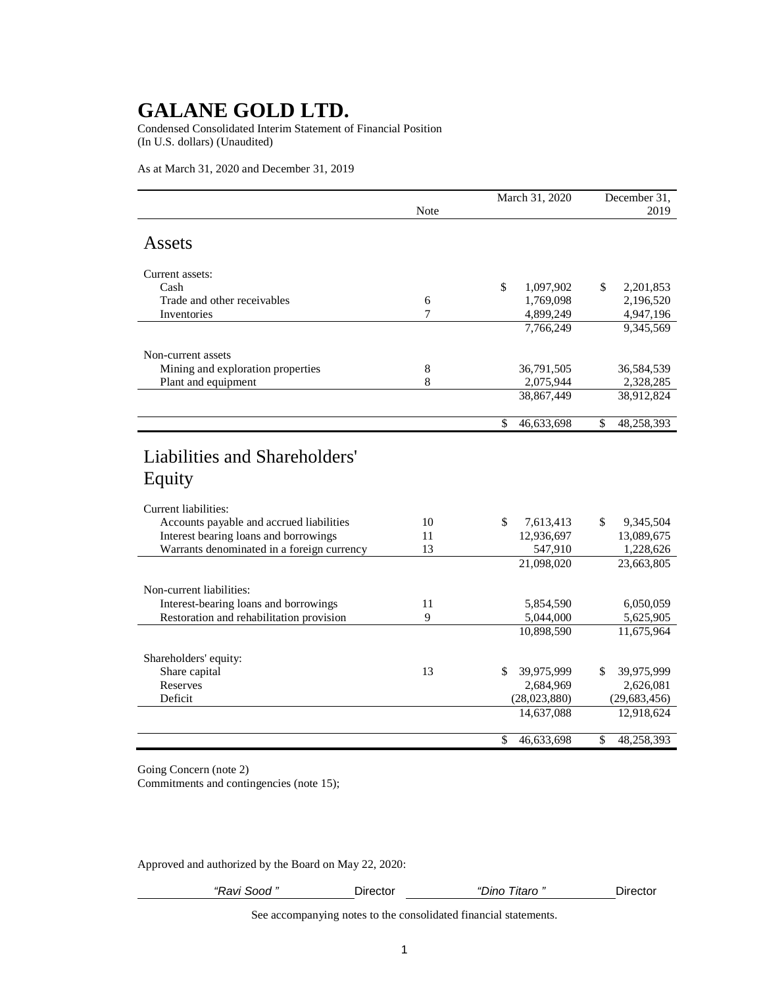Condensed Consolidated Interim Statement of Financial Position (In U.S. dollars) (Unaudited)

As at March 31, 2020 and December 31, 2019

|                                                                  |      | March 31, 2020   | December 31,     |  |  |
|------------------------------------------------------------------|------|------------------|------------------|--|--|
|                                                                  | Note |                  | 2019             |  |  |
| Assets                                                           |      |                  |                  |  |  |
| Current assets:                                                  |      |                  |                  |  |  |
| Cash                                                             |      | \$<br>1,097,902  | \$<br>2,201,853  |  |  |
| Trade and other receivables                                      | 6    | 1,769,098        | 2,196,520        |  |  |
| Inventories                                                      | 7    | 4,899,249        | 4,947,196        |  |  |
|                                                                  |      | 7,766,249        | 9,345,569        |  |  |
| Non-current assets                                               |      |                  |                  |  |  |
| Mining and exploration properties                                | 8    | 36,791,505       | 36,584,539       |  |  |
| Plant and equipment                                              | 8    | 2,075,944        | 2,328,285        |  |  |
|                                                                  |      | 38,867,449       | 38,912,824       |  |  |
|                                                                  |      | \$<br>46,633,698 | \$<br>48,258,393 |  |  |
| Equity                                                           |      |                  |                  |  |  |
|                                                                  |      |                  |                  |  |  |
| Current liabilities:<br>Accounts payable and accrued liabilities | 10   | \$<br>7,613,413  | \$<br>9,345,504  |  |  |
| Interest bearing loans and borrowings                            | 11   | 12,936,697       | 13,089,675       |  |  |
| Warrants denominated in a foreign currency                       | 13   | 547,910          | 1,228,626        |  |  |
|                                                                  |      | 21,098,020       | 23,663,805       |  |  |
| Non-current liabilities:                                         |      |                  |                  |  |  |
| Interest-bearing loans and borrowings                            | 11   | 5,854,590        | 6,050,059        |  |  |
| Restoration and rehabilitation provision                         | 9    | 5,044,000        | 5,625,905        |  |  |
|                                                                  |      | 10,898,590       | 11,675,964       |  |  |
| Shareholders' equity:                                            |      |                  |                  |  |  |
| Share capital                                                    | 13   | \$<br>39,975,999 | 39,975,999<br>\$ |  |  |
| Reserves                                                         |      | 2,684,969        | 2,626,081        |  |  |
| Deficit                                                          |      | (28,023,880)     | (29, 683, 456)   |  |  |
|                                                                  |      | 14,637,088       | 12,918,624       |  |  |
|                                                                  |      | 46,633,698<br>\$ | 48,258,393<br>\$ |  |  |

Going Concern (note 2)

Commitments and contingencies (note 15);

Approved and authorized by the Board on May 22, 2020:

| "Ravi Sood " | ⊃ırector | $\epsilon$<br>onוכ<br>' Itaro | Director |
|--------------|----------|-------------------------------|----------|
|              |          |                               |          |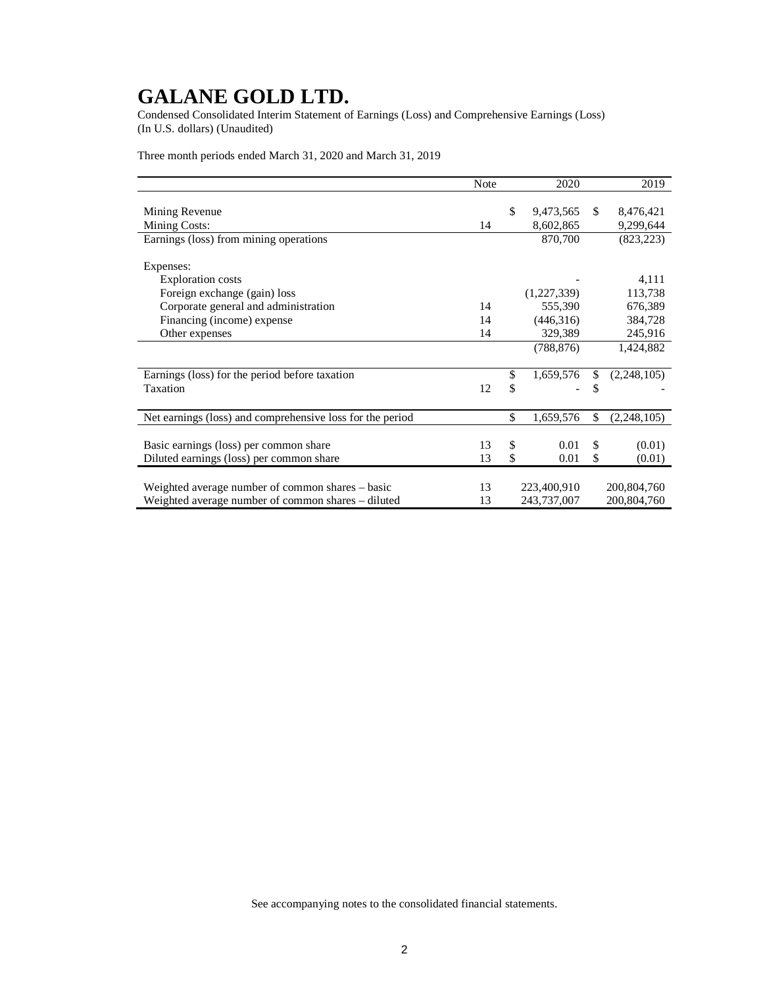Condensed Consolidated Interim Statement of Earnings (Loss) and Comprehensive Earnings (Loss) (In U.S. dollars) (Unaudited)

Three month periods ended March 31, 2020 and March 31, 2019

|                                                           | <b>Note</b> | 2020            | 2019              |
|-----------------------------------------------------------|-------------|-----------------|-------------------|
|                                                           |             |                 |                   |
| Mining Revenue                                            |             | \$<br>9,473,565 | \$<br>8,476,421   |
| Mining Costs:                                             | 14          | 8,602,865       | 9,299,644         |
| Earnings (loss) from mining operations                    |             | 870,700         | (823, 223)        |
|                                                           |             |                 |                   |
| Expenses:                                                 |             |                 |                   |
| <b>Exploration costs</b>                                  |             |                 | 4,111             |
| Foreign exchange (gain) loss                              |             | (1,227,339)     | 113,738           |
| Corporate general and administration                      | 14          | 555,390         | 676,389           |
| Financing (income) expense                                | 14          | (446,316)       | 384,728           |
| Other expenses                                            | 14          | 329,389         | 245,916           |
|                                                           |             | (788, 876)      | 1,424,882         |
|                                                           |             |                 |                   |
| Earnings (loss) for the period before taxation            |             | \$<br>1,659,576 | \$<br>(2,248,105) |
| Taxation                                                  | 12          | \$              | \$                |
|                                                           |             |                 |                   |
| Net earnings (loss) and comprehensive loss for the period |             | \$<br>1,659,576 | \$<br>(2,248,105) |
|                                                           |             |                 |                   |
| Basic earnings (loss) per common share                    | 13          | \$<br>0.01      | \$<br>(0.01)      |
| Diluted earnings (loss) per common share                  | 13          | \$<br>0.01      | \$<br>(0.01)      |
|                                                           |             |                 |                   |
| Weighted average number of common shares - basic          | 13          | 223,400,910     | 200,804,760       |
| Weighted average number of common shares – diluted        | 13          | 243,737,007     | 200,804,760       |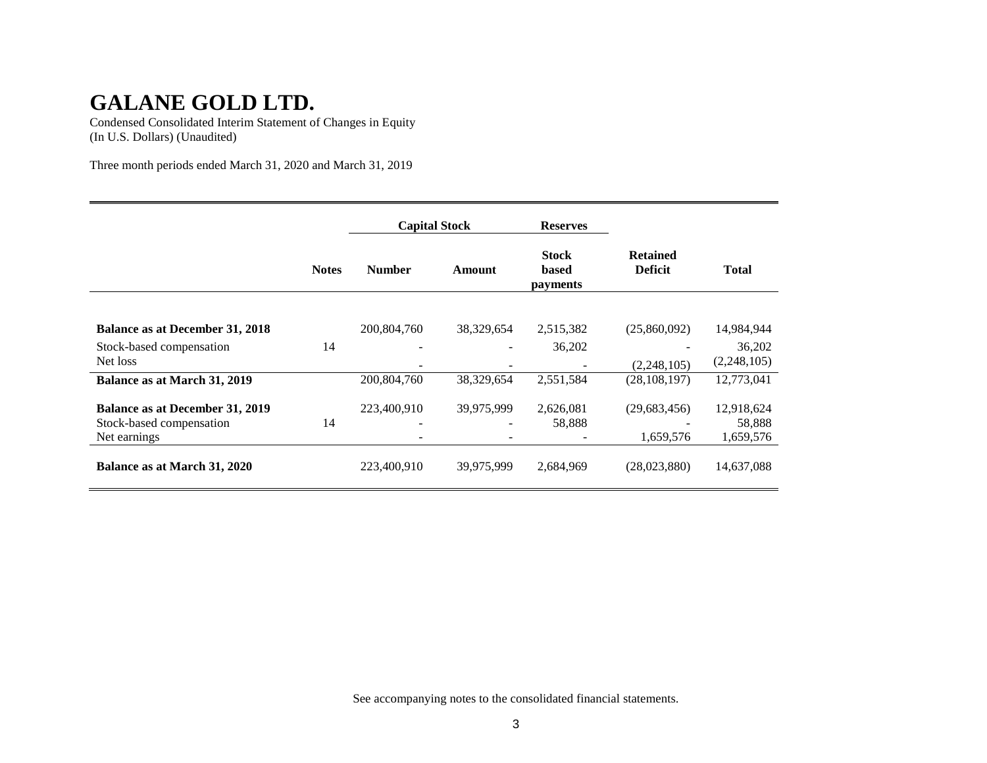Condensed Consolidated Interim Statement of Changes in Equity (In U.S. Dollars) (Unaudited)

Three month periods ended March 31, 2020 and March 31, 2019

|                                        |              | <b>Capital Stock</b><br><b>Number</b><br>Amount |            | <b>Reserves</b>                          |                                   |              |
|----------------------------------------|--------------|-------------------------------------------------|------------|------------------------------------------|-----------------------------------|--------------|
|                                        | <b>Notes</b> |                                                 |            | <b>Stock</b><br><b>based</b><br>payments | <b>Retained</b><br><b>Deficit</b> | <b>Total</b> |
|                                        |              |                                                 |            |                                          |                                   |              |
| <b>Balance as at December 31, 2018</b> |              | 200,804,760                                     | 38,329,654 | 2,515,382                                | (25,860,092)                      | 14,984,944   |
| Stock-based compensation               | 14           |                                                 |            | 36,202                                   |                                   | 36,202       |
| Net loss                               |              |                                                 |            |                                          | (2,248,105)                       | (2,248,105)  |
| Balance as at March 31, 2019           |              | 200,804,760                                     | 38,329,654 | 2,551,584                                | (28, 108, 197)                    | 12,773,041   |
| <b>Balance as at December 31, 2019</b> |              | 223,400,910                                     | 39,975,999 | 2,626,081                                | (29,683,456)                      | 12,918,624   |
| Stock-based compensation               | 14           |                                                 |            | 58,888                                   |                                   | 58,888       |
| Net earnings                           |              |                                                 |            |                                          | 1,659,576                         | 1,659,576    |
| Balance as at March 31, 2020           |              | 223,400,910                                     | 39,975,999 | 2,684,969                                | (28,023,880)                      | 14,637,088   |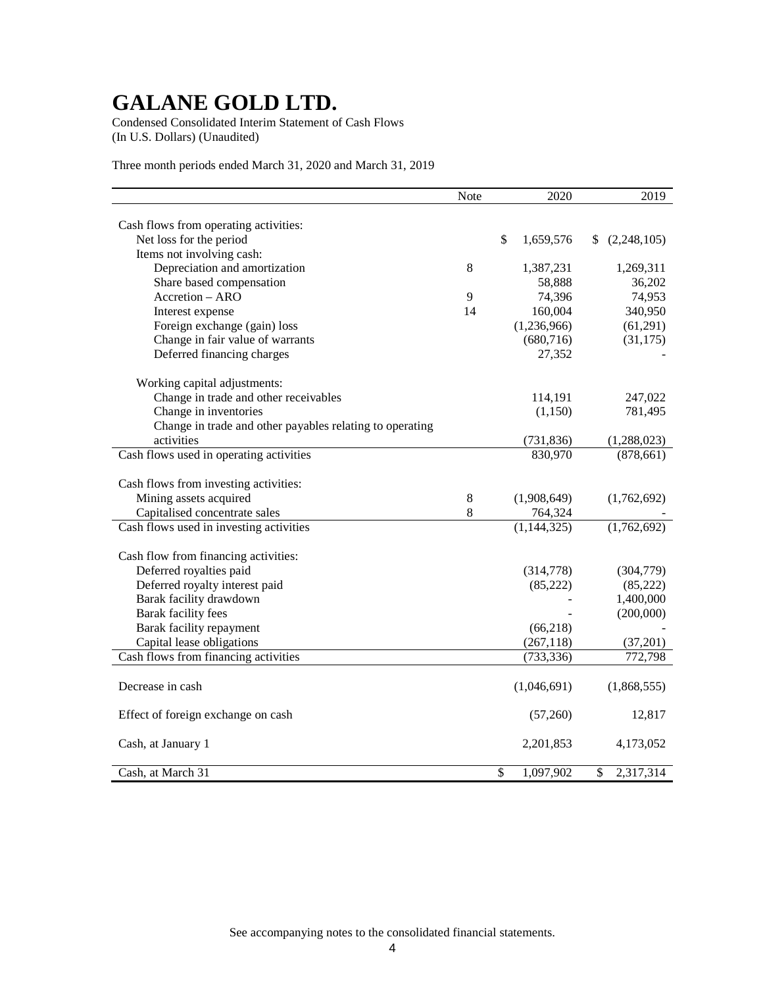Condensed Consolidated Interim Statement of Cash Flows (In U.S. Dollars) (Unaudited)

Three month periods ended March 31, 2020 and March 31, 2019

|                                                          | Note  | 2020                      | 2019              |
|----------------------------------------------------------|-------|---------------------------|-------------------|
|                                                          |       |                           |                   |
| Cash flows from operating activities:                    |       |                           |                   |
| Net loss for the period                                  |       | $\mathbb{S}$<br>1,659,576 | (2,248,105)<br>S. |
| Items not involving cash:                                |       |                           |                   |
| Depreciation and amortization                            | 8     | 1,387,231                 | 1,269,311         |
| Share based compensation                                 |       | 58,888                    | 36,202            |
| Accretion - ARO                                          | 9     | 74,396                    | 74,953            |
| Interest expense                                         | 14    | 160,004                   | 340,950           |
| Foreign exchange (gain) loss                             |       | (1,236,966)               | (61,291)          |
| Change in fair value of warrants                         |       | (680, 716)                | (31, 175)         |
| Deferred financing charges                               |       | 27,352                    |                   |
| Working capital adjustments:                             |       |                           |                   |
| Change in trade and other receivables                    |       | 114,191                   | 247,022           |
| Change in inventories                                    |       | (1,150)                   | 781,495           |
| Change in trade and other payables relating to operating |       |                           |                   |
| activities                                               |       | (731, 836)                | (1,288,023)       |
| Cash flows used in operating activities                  |       | 830,970                   | (878, 661)        |
|                                                          |       |                           |                   |
| Cash flows from investing activities:                    |       |                           |                   |
| Mining assets acquired                                   | $8\,$ | (1,908,649)               | (1,762,692)       |
| Capitalised concentrate sales                            | 8     | 764,324                   |                   |
| Cash flows used in investing activities                  |       | (1, 144, 325)             | (1,762,692)       |
| Cash flow from financing activities:                     |       |                           |                   |
| Deferred royalties paid                                  |       | (314,778)                 | (304,779)         |
| Deferred royalty interest paid                           |       | (85, 222)                 | (85, 222)         |
| Barak facility drawdown                                  |       |                           | 1,400,000         |
| <b>Barak facility fees</b>                               |       |                           | (200,000)         |
| Barak facility repayment                                 |       | (66, 218)                 |                   |
|                                                          |       |                           |                   |
| Capital lease obligations                                |       | (267, 118)                | (37,201)          |
| Cash flows from financing activities                     |       | (733, 336)                | 772,798           |
| Decrease in cash                                         |       | (1,046,691)               | (1,868,555)       |
|                                                          |       |                           |                   |
| Effect of foreign exchange on cash                       |       | (57,260)                  | 12,817            |
| Cash, at January 1                                       |       | 2,201,853                 | 4,173,052         |
| Cash, at March 31                                        |       | \$<br>1,097,902           | \$<br>2,317,314   |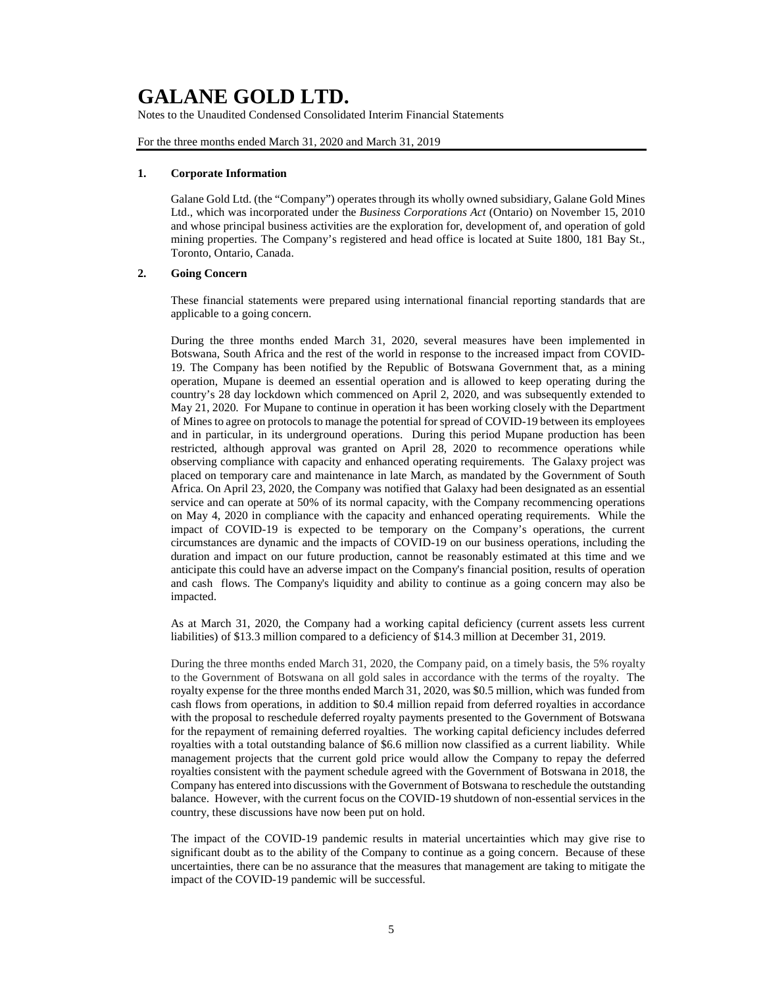Notes to the Unaudited Condensed Consolidated Interim Financial Statements

For the three months ended March 31, 2020 and March 31, 2019

#### **1. Corporate Information**

Galane Gold Ltd. (the "Company") operates through its wholly owned subsidiary, Galane Gold Mines Ltd., which was incorporated under the *Business Corporations Act* (Ontario) on November 15, 2010 and whose principal business activities are the exploration for, development of, and operation of gold mining properties. The Company's registered and head office is located at Suite 1800, 181 Bay St., Toronto, Ontario, Canada.

### **2. Going Concern**

These financial statements were prepared using international financial reporting standards that are applicable to a going concern.

During the three months ended March 31, 2020, several measures have been implemented in Botswana, South Africa and the rest of the world in response to the increased impact from COVID-19. The Company has been notified by the Republic of Botswana Government that, as a mining operation, Mupane is deemed an essential operation and is allowed to keep operating during the country's 28 day lockdown which commenced on April 2, 2020, and was subsequently extended to May 21, 2020. For Mupane to continue in operation it has been working closely with the Department of Mines to agree on protocols to manage the potential for spread of COVID-19 between its employees and in particular, in its underground operations. During this period Mupane production has been restricted, although approval was granted on April 28, 2020 to recommence operations while observing compliance with capacity and enhanced operating requirements. The Galaxy project was placed on temporary care and maintenance in late March, as mandated by the Government of South Africa. On April 23, 2020, the Company was notified that Galaxy had been designated as an essential service and can operate at 50% of its normal capacity, with the Company recommencing operations on May 4, 2020 in compliance with the capacity and enhanced operating requirements. While the impact of COVID-19 is expected to be temporary on the Company's operations, the current circumstances are dynamic and the impacts of COVID-19 on our business operations, including the duration and impact on our future production, cannot be reasonably estimated at this time and we anticipate this could have an adverse impact on the Company's financial position, results of operation and cash flows. The Company's liquidity and ability to continue as a going concern may also be impacted.

As at March 31, 2020, the Company had a working capital deficiency (current assets less current liabilities) of \$13.3 million compared to a deficiency of \$14.3 million at December 31, 2019.

During the three months ended March 31, 2020, the Company paid, on a timely basis, the 5% royalty to the Government of Botswana on all gold sales in accordance with the terms of the royalty. The royalty expense for the three months ended March 31, 2020, was \$0.5 million, which was funded from cash flows from operations, in addition to \$0.4 million repaid from deferred royalties in accordance with the proposal to reschedule deferred royalty payments presented to the Government of Botswana for the repayment of remaining deferred royalties. The working capital deficiency includes deferred royalties with a total outstanding balance of \$6.6 million now classified as a current liability. While management projects that the current gold price would allow the Company to repay the deferred royalties consistent with the payment schedule agreed with the Government of Botswana in 2018, the Company has entered into discussions with the Government of Botswana to reschedule the outstanding balance. However, with the current focus on the COVID-19 shutdown of non-essential services in the country, these discussions have now been put on hold.

The impact of the COVID-19 pandemic results in material uncertainties which may give rise to significant doubt as to the ability of the Company to continue as a going concern. Because of these uncertainties, there can be no assurance that the measures that management are taking to mitigate the impact of the COVID-19 pandemic will be successful.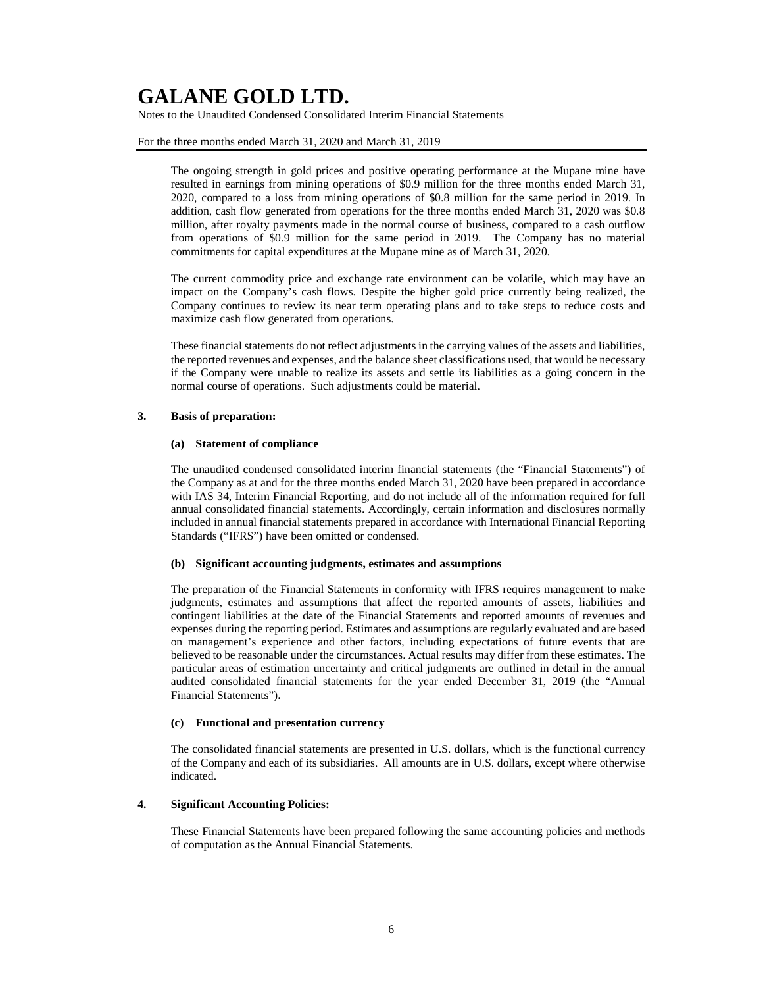Notes to the Unaudited Condensed Consolidated Interim Financial Statements

#### For the three months ended March 31, 2020 and March 31, 2019

The ongoing strength in gold prices and positive operating performance at the Mupane mine have resulted in earnings from mining operations of \$0.9 million for the three months ended March 31, 2020, compared to a loss from mining operations of \$0.8 million for the same period in 2019. In addition, cash flow generated from operations for the three months ended March 31, 2020 was \$0.8 million, after royalty payments made in the normal course of business, compared to a cash outflow from operations of \$0.9 million for the same period in 2019. The Company has no material commitments for capital expenditures at the Mupane mine as of March 31, 2020.

The current commodity price and exchange rate environment can be volatile, which may have an impact on the Company's cash flows. Despite the higher gold price currently being realized, the Company continues to review its near term operating plans and to take steps to reduce costs and maximize cash flow generated from operations.

These financial statements do not reflect adjustments in the carrying values of the assets and liabilities, the reported revenues and expenses, and the balance sheet classifications used, that would be necessary if the Company were unable to realize its assets and settle its liabilities as a going concern in the normal course of operations. Such adjustments could be material.

#### **3. Basis of preparation:**

#### **(a) Statement of compliance**

The unaudited condensed consolidated interim financial statements (the "Financial Statements") of the Company as at and for the three months ended March 31, 2020 have been prepared in accordance with IAS 34, Interim Financial Reporting, and do not include all of the information required for full annual consolidated financial statements. Accordingly, certain information and disclosures normally included in annual financial statements prepared in accordance with International Financial Reporting Standards ("IFRS") have been omitted or condensed.

#### **(b) Significant accounting judgments, estimates and assumptions**

The preparation of the Financial Statements in conformity with IFRS requires management to make judgments, estimates and assumptions that affect the reported amounts of assets, liabilities and contingent liabilities at the date of the Financial Statements and reported amounts of revenues and expenses during the reporting period. Estimates and assumptions are regularly evaluated and are based on management's experience and other factors, including expectations of future events that are believed to be reasonable under the circumstances. Actual results may differ from these estimates. The particular areas of estimation uncertainty and critical judgments are outlined in detail in the annual audited consolidated financial statements for the year ended December 31, 2019 (the "Annual Financial Statements").

#### **(c) Functional and presentation currency**

The consolidated financial statements are presented in U.S. dollars, which is the functional currency of the Company and each of its subsidiaries. All amounts are in U.S. dollars, except where otherwise indicated.

#### **4. Significant Accounting Policies:**

These Financial Statements have been prepared following the same accounting policies and methods of computation as the Annual Financial Statements.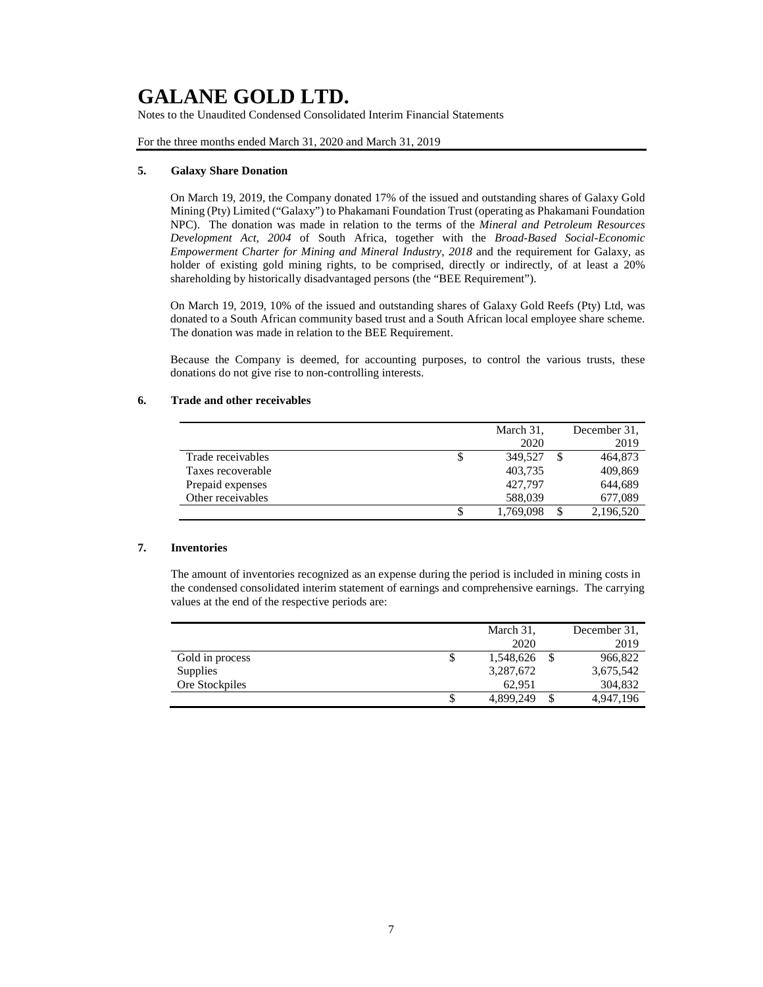Notes to the Unaudited Condensed Consolidated Interim Financial Statements

For the three months ended March 31, 2020 and March 31, 2019

#### **5. Galaxy Share Donation**

On March 19, 2019, the Company donated 17% of the issued and outstanding shares of Galaxy Gold Mining (Pty) Limited ("Galaxy") to Phakamani Foundation Trust (operating as Phakamani Foundation NPC). The donation was made in relation to the terms of the *Mineral and Petroleum Resources Development Act, 2004* of South Africa, together with the *Broad-Based Social-Economic Empowerment Charter for Mining and Mineral Industry, 2018* and the requirement for Galaxy, as holder of existing gold mining rights, to be comprised, directly or indirectly, of at least a 20% shareholding by historically disadvantaged persons (the "BEE Requirement").

On March 19, 2019, 10% of the issued and outstanding shares of Galaxy Gold Reefs (Pty) Ltd, was donated to a South African community based trust and a South African local employee share scheme. The donation was made in relation to the BEE Requirement.

Because the Company is deemed, for accounting purposes, to control the various trusts, these donations do not give rise to non-controlling interests.

#### **6. Trade and other receivables**

|                   | March 31, | December 31. |
|-------------------|-----------|--------------|
|                   | 2020      | 2019         |
| Trade receivables | 349.527   | 464,873      |
| Taxes recoverable | 403,735   | 409,869      |
| Prepaid expenses  | 427.797   | 644,689      |
| Other receivables | 588,039   | 677,089      |
|                   | 1,769,098 | 2,196,520    |

### **7. Inventories**

The amount of inventories recognized as an expense during the period is included in mining costs in the condensed consolidated interim statement of earnings and comprehensive earnings. The carrying values at the end of the respective periods are:

|                 |    | March 31, |   | December 31. |
|-----------------|----|-----------|---|--------------|
|                 |    | 2020      |   | 2019         |
| Gold in process | \$ | 1,548,626 | S | 966,822      |
| Supplies        |    | 3,287,672 |   | 3,675,542    |
| Ore Stockpiles  |    | 62.951    |   | 304,832      |
|                 | S  | 4,899,249 | S | 4,947,196    |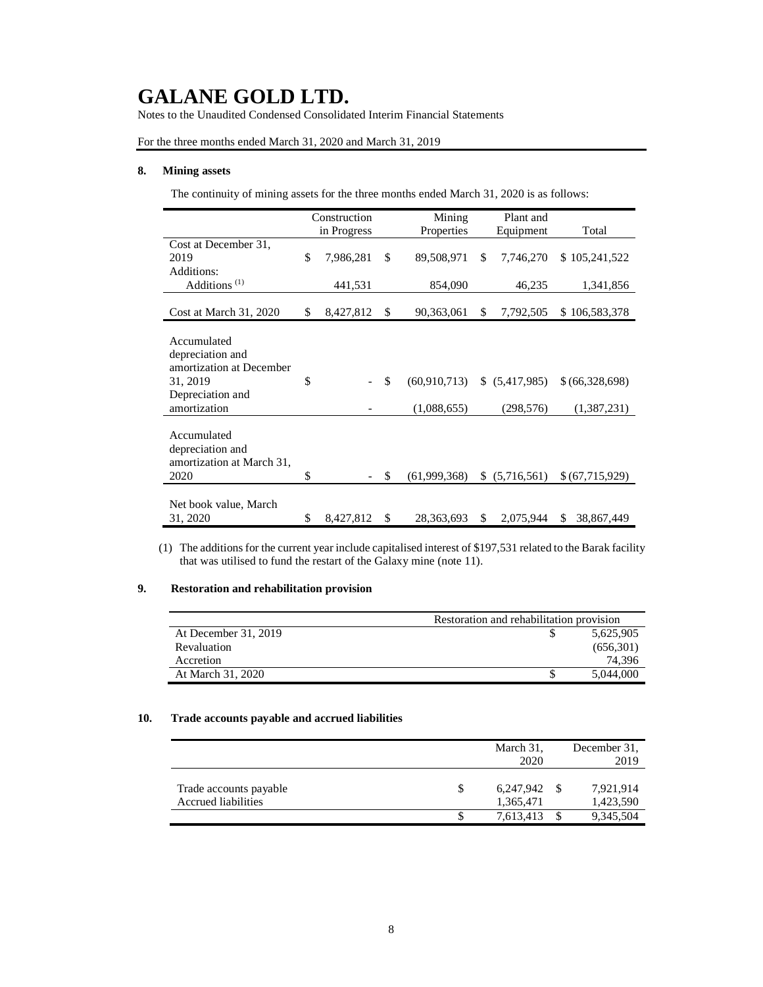Notes to the Unaudited Condensed Consolidated Interim Financial Statements

For the three months ended March 31, 2020 and March 31, 2019

### **8. Mining assets**

The continuity of mining assets for the three months ended March 31, 2020 is as follows:

|                           | Construction |             |    | Mining         | Plant and       |                  |
|---------------------------|--------------|-------------|----|----------------|-----------------|------------------|
|                           |              | in Progress |    | Properties     | Equipment       | Total            |
| Cost at December 31,      |              |             |    |                |                 |                  |
| 2019                      | \$           | 7,986,281   | \$ | 89,508,971     | \$<br>7,746,270 | \$105,241,522    |
| Additions:                |              |             |    |                |                 |                  |
| Additions <sup>(1)</sup>  |              | 441,531     |    | 854,090        | 46,235          | 1,341,856        |
|                           |              |             |    |                |                 |                  |
| Cost at March 31, 2020    | \$           | 8,427,812   | \$ | 90,363,061     | \$<br>7,792,505 | \$106,583,378    |
|                           |              |             |    |                |                 |                  |
| Accumulated               |              |             |    |                |                 |                  |
| depreciation and          |              |             |    |                |                 |                  |
| amortization at December  |              |             |    |                |                 |                  |
| 31, 2019                  | \$           |             | \$ | (60, 910, 713) | \$ (5,417,985)  | \$(66,328,698)   |
| Depreciation and          |              |             |    |                |                 |                  |
| amortization              |              |             |    | (1,088,655)    | (298, 576)      | (1,387,231)      |
|                           |              |             |    |                |                 |                  |
| Accumulated               |              |             |    |                |                 |                  |
| depreciation and          |              |             |    |                |                 |                  |
| amortization at March 31, |              |             |    |                |                 |                  |
| 2020                      | \$           |             | \$ | (61,999,368)   | \$ (5,716,561)  | \$(67,715,929)   |
|                           |              |             |    |                |                 |                  |
| Net book value, March     |              |             |    |                |                 |                  |
| 31, 2020                  | \$           | 8,427,812   | \$ | 28,363,693     | \$<br>2,075,944 | \$<br>38,867,449 |

(1) The additions for the current year include capitalised interest of \$197,531 related to the Barak facility that was utilised to fund the restart of the Galaxy mine (note 11).

### **9. Restoration and rehabilitation provision**

|                      | Restoration and rehabilitation provision |  |  |  |
|----------------------|------------------------------------------|--|--|--|
| At December 31, 2019 | 5,625,905                                |  |  |  |
| Revaluation          | (656,301)                                |  |  |  |
| Accretion            | 74.396                                   |  |  |  |
| At March 31, 2020    | 5.044,000                                |  |  |  |

#### **10. Trade accounts payable and accrued liabilities**

|                                               | March 31,<br>2020      | December 31.<br>2019   |
|-----------------------------------------------|------------------------|------------------------|
| Trade accounts payable<br>Accrued liabilities | 6,247,942<br>1,365,471 | 7,921,914<br>1,423,590 |
|                                               | 7,613,413              | 9,345,504              |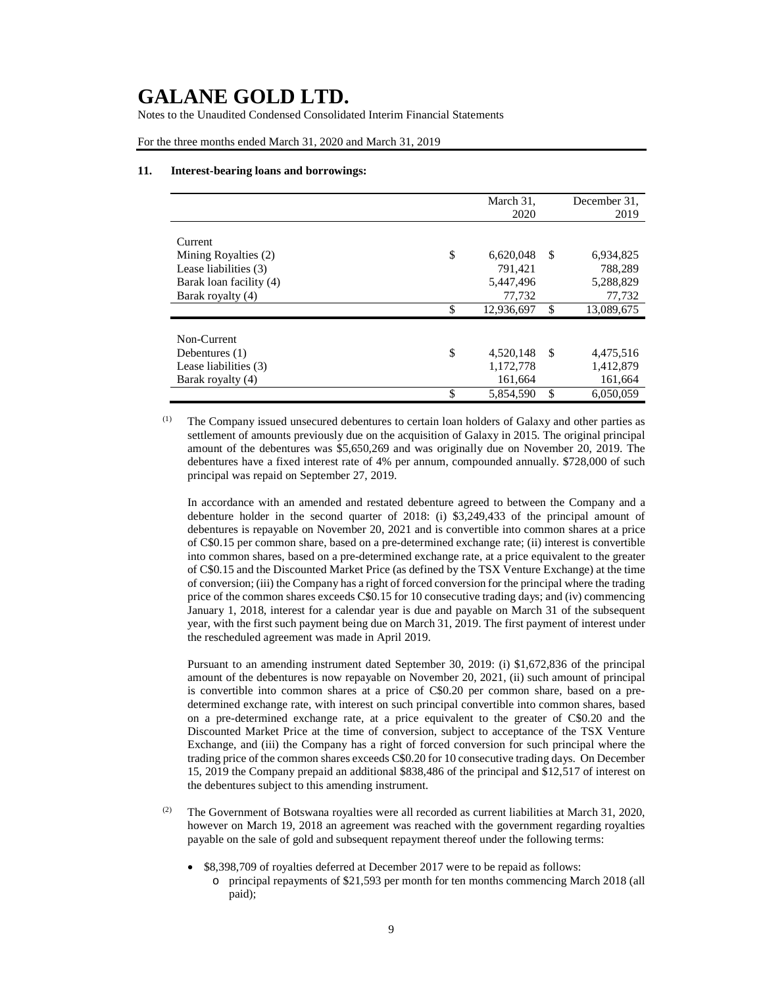Notes to the Unaudited Condensed Consolidated Interim Financial Statements

For the three months ended March 31, 2020 and March 31, 2019

#### **11. Interest-bearing loans and borrowings:**

|                         | March 31,        |               | December 31. |
|-------------------------|------------------|---------------|--------------|
|                         | 2020             |               | 2019         |
|                         |                  |               |              |
| Current                 |                  |               |              |
| Mining Royalties (2)    | \$<br>6,620,048  | <sup>\$</sup> | 6,934,825    |
| Lease liabilities (3)   | 791.421          |               | 788,289      |
| Barak loan facility (4) | 5,447,496        |               | 5,288,829    |
| Barak royalty (4)       | 77,732           |               | 77,732       |
|                         | \$<br>12,936,697 | \$            | 13,089,675   |
|                         |                  |               |              |
| Non-Current             |                  |               |              |
| Debentures $(1)$        | \$<br>4,520,148  | -S            | 4,475,516    |
| Lease liabilities (3)   | 1,172,778        |               | 1,412,879    |
| Barak royalty (4)       | 161,664          |               | 161,664      |
|                         | \$<br>5,854,590  | \$            | 6,050,059    |

(1) The Company issued unsecured debentures to certain loan holders of Galaxy and other parties as settlement of amounts previously due on the acquisition of Galaxy in 2015. The original principal amount of the debentures was \$5,650,269 and was originally due on November 20, 2019. The debentures have a fixed interest rate of 4% per annum, compounded annually. \$728,000 of such principal was repaid on September 27, 2019.

In accordance with an amended and restated debenture agreed to between the Company and a debenture holder in the second quarter of 2018: (i) \$3,249,433 of the principal amount of debentures is repayable on November 20, 2021 and is convertible into common shares at a price of C\$0.15 per common share, based on a pre-determined exchange rate; (ii) interest is convertible into common shares, based on a pre-determined exchange rate, at a price equivalent to the greater of C\$0.15 and the Discounted Market Price (as defined by the TSX Venture Exchange) at the time of conversion; (iii) the Company has a right of forced conversion for the principal where the trading price of the common shares exceeds C\$0.15 for 10 consecutive trading days; and (iv) commencing January 1, 2018, interest for a calendar year is due and payable on March 31 of the subsequent year, with the first such payment being due on March 31, 2019. The first payment of interest under the rescheduled agreement was made in April 2019.

Pursuant to an amending instrument dated September 30, 2019: (i) \$1,672,836 of the principal amount of the debentures is now repayable on November 20, 2021, (ii) such amount of principal is convertible into common shares at a price of C\$0.20 per common share, based on a predetermined exchange rate, with interest on such principal convertible into common shares, based on a pre-determined exchange rate, at a price equivalent to the greater of C\$0.20 and the Discounted Market Price at the time of conversion, subject to acceptance of the TSX Venture Exchange, and (iii) the Company has a right of forced conversion for such principal where the trading price of the common shares exceeds C\$0.20 for 10 consecutive trading days. On December 15, 2019 the Company prepaid an additional \$838,486 of the principal and \$12,517 of interest on the debentures subject to this amending instrument.

- $(2)$  The Government of Botswana royalties were all recorded as current liabilities at March 31, 2020, however on March 19, 2018 an agreement was reached with the government regarding royalties payable on the sale of gold and subsequent repayment thereof under the following terms:
	- \$8,398,709 of royalties deferred at December 2017 were to be repaid as follows:
		- o principal repayments of \$21,593 per month for ten months commencing March 2018 (all paid);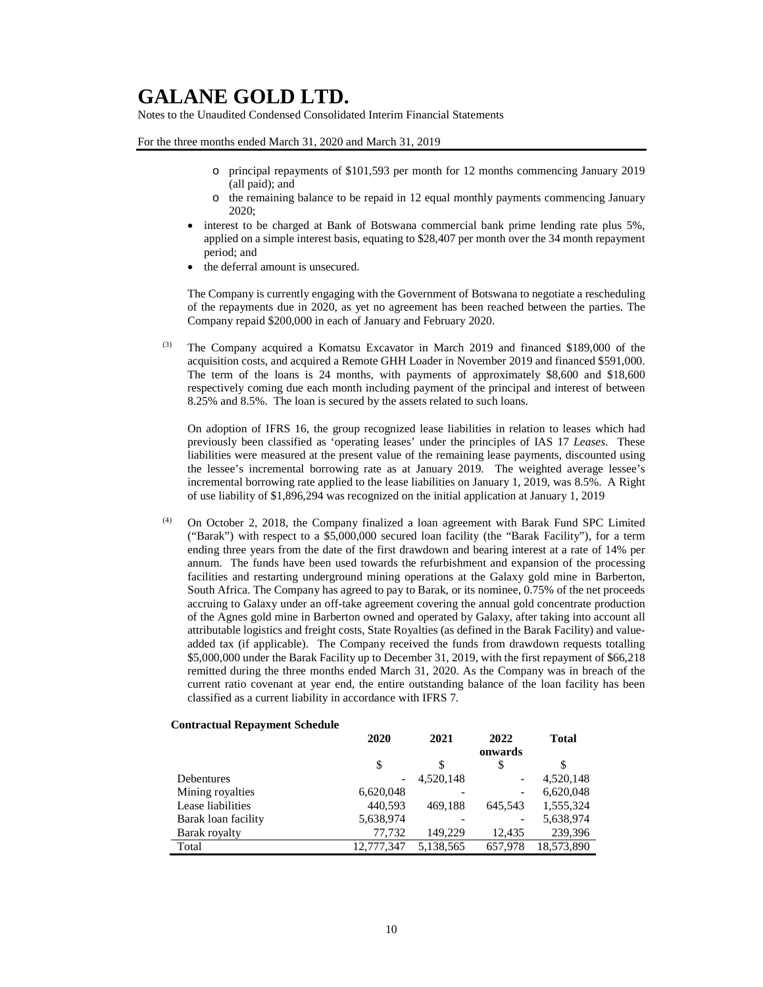Notes to the Unaudited Condensed Consolidated Interim Financial Statements

For the three months ended March 31, 2020 and March 31, 2019

- o principal repayments of \$101,593 per month for 12 months commencing January 2019 (all paid); and
- o the remaining balance to be repaid in 12 equal monthly payments commencing January 2020;
- interest to be charged at Bank of Botswana commercial bank prime lending rate plus 5%, applied on a simple interest basis, equating to \$28,407 per month over the 34 month repayment period; and
- the deferral amount is unsecured.

The Company is currently engaging with the Government of Botswana to negotiate a rescheduling of the repayments due in 2020, as yet no agreement has been reached between the parties. The Company repaid \$200,000 in each of January and February 2020.

The Company acquired a Komatsu Excavator in March 2019 and financed \$189,000 of the acquisition costs, and acquired a Remote GHH Loader in November 2019 and financed \$591,000. The term of the loans is 24 months, with payments of approximately \$8,600 and \$18,600 respectively coming due each month including payment of the principal and interest of between 8.25% and 8.5%. The loan is secured by the assets related to such loans.

On adoption of IFRS 16, the group recognized lease liabilities in relation to leases which had previously been classified as 'operating leases' under the principles of IAS 17 *Leases*. These liabilities were measured at the present value of the remaining lease payments, discounted using the lessee's incremental borrowing rate as at January 2019. The weighted average lessee's incremental borrowing rate applied to the lease liabilities on January 1, 2019, was 8.5%. A Right of use liability of \$1,896,294 was recognized on the initial application at January 1, 2019

(4) On October 2, 2018, the Company finalized a loan agreement with Barak Fund SPC Limited ("Barak") with respect to a \$5,000,000 secured loan facility (the "Barak Facility"), for a term ending three years from the date of the first drawdown and bearing interest at a rate of 14% per annum. The funds have been used towards the refurbishment and expansion of the processing facilities and restarting underground mining operations at the Galaxy gold mine in Barberton, South Africa. The Company has agreed to pay to Barak, or its nominee, 0.75% of the net proceeds accruing to Galaxy under an off-take agreement covering the annual gold concentrate production of the Agnes gold mine in Barberton owned and operated by Galaxy, after taking into account all attributable logistics and freight costs, State Royalties (as defined in the Barak Facility) and valueadded tax (if applicable). The Company received the funds from drawdown requests totalling \$5,000,000 under the Barak Facility up to December 31, 2019, with the first repayment of \$66,218 remitted during the three months ended March 31, 2020. As the Company was in breach of the current ratio covenant at year end, the entire outstanding balance of the loan facility has been classified as a current liability in accordance with IFRS 7.

#### **Contractual Repayment Schedule**

|                     | 2020       | 2021      | 2022    | <b>Total</b> |
|---------------------|------------|-----------|---------|--------------|
|                     |            |           | onwards |              |
|                     | \$         | S         | S       | \$           |
| Debentures          |            | 4.520.148 | -       | 4,520,148    |
| Mining royalties    | 6,620,048  |           | -       | 6,620,048    |
| Lease liabilities   | 440,593    | 469.188   | 645.543 | 1,555,324    |
| Barak loan facility | 5,638,974  |           | -       | 5,638,974    |
| Barak royalty       | 77.732     | 149.229   | 12.435  | 239,396      |
| Total               | 12,777,347 | 5,138,565 | 657.978 | 18,573,890   |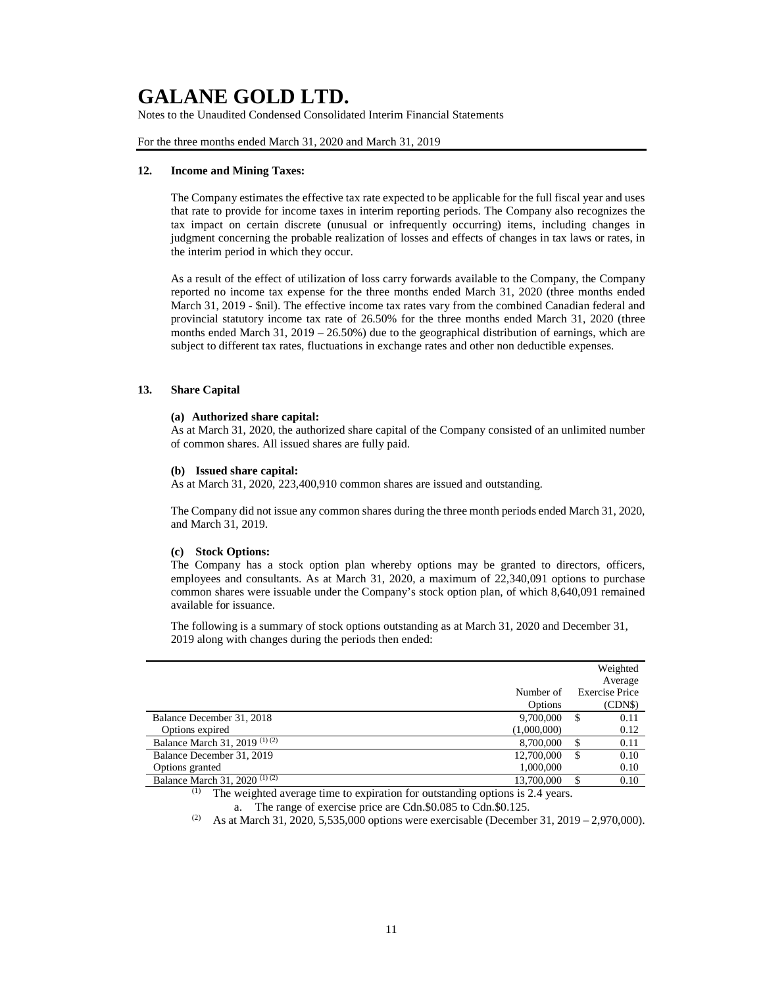Notes to the Unaudited Condensed Consolidated Interim Financial Statements

For the three months ended March 31, 2020 and March 31, 2019

#### **12. Income and Mining Taxes:**

The Company estimates the effective tax rate expected to be applicable for the full fiscal year and uses that rate to provide for income taxes in interim reporting periods. The Company also recognizes the tax impact on certain discrete (unusual or infrequently occurring) items, including changes in judgment concerning the probable realization of losses and effects of changes in tax laws or rates, in the interim period in which they occur.

As a result of the effect of utilization of loss carry forwards available to the Company, the Company reported no income tax expense for the three months ended March 31, 2020 (three months ended March 31, 2019 - \$nil). The effective income tax rates vary from the combined Canadian federal and provincial statutory income tax rate of 26.50% for the three months ended March 31, 2020 (three months ended March  $31$ ,  $2019 - 26.50\%)$  due to the geographical distribution of earnings, which are subject to different tax rates, fluctuations in exchange rates and other non deductible expenses.

### **13. Share Capital**

#### **(a) Authorized share capital:**

As at March 31, 2020, the authorized share capital of the Company consisted of an unlimited number of common shares. All issued shares are fully paid.

#### **(b) Issued share capital:**

As at March 31, 2020, 223,400,910 common shares are issued and outstanding.

The Company did not issue any common shares during the three month periods ended March 31, 2020, and March 31, 2019.

#### **(c) Stock Options:**

The Company has a stock option plan whereby options may be granted to directors, officers, employees and consultants. As at March 31, 2020, a maximum of 22,340,091 options to purchase common shares were issuable under the Company's stock option plan, of which 8,640,091 remained available for issuance.

The following is a summary of stock options outstanding as at March 31, 2020 and December 31, 2019 along with changes during the periods then ended:

|                                |                      |   | Weighted<br>Average              |
|--------------------------------|----------------------|---|----------------------------------|
|                                | Number of<br>Options |   | <b>Exercise Price</b><br>(CDN\$) |
| Balance December 31, 2018      | 9.700,000            | S | 0.11                             |
| Options expired                | (1,000,000)          |   | 0.12                             |
| Balance March 31, 2019 (1) (2) | 8.700,000            | S | 0.11                             |
| Balance December 31, 2019      | 12,700,000           | S | 0.10                             |
| Options granted                | 1,000,000            |   | 0.10                             |
| Balance March 31, 2020 $(D(1)$ | 13,700,000           |   | 0.10                             |

(1) The weighted average time to expiration for outstanding options is 2.4 years. a. The range of exercise price are Cdn.\$0.085 to Cdn.\$0.125.

<sup>(2)</sup> As at March 31, 2020, 5,535,000 options were exercisable (December 31, 2019 – 2,970,000).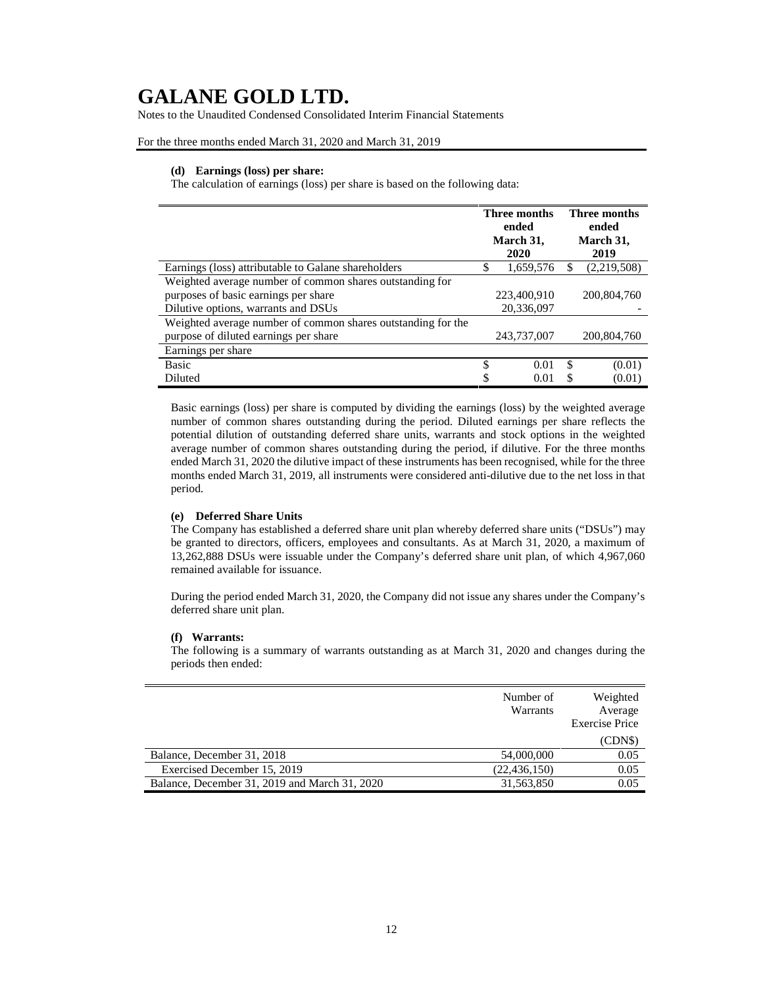Notes to the Unaudited Condensed Consolidated Interim Financial Statements

For the three months ended March 31, 2020 and March 31, 2019

#### **(d) Earnings (loss) per share:**

The calculation of earnings (loss) per share is based on the following data:

|                                                                                                                                         |     | Three months<br>ended<br>March 31,<br>2020 | <b>Three months</b><br>ended<br>March 31,<br>2019 |             |  |
|-----------------------------------------------------------------------------------------------------------------------------------------|-----|--------------------------------------------|---------------------------------------------------|-------------|--|
| Earnings (loss) attributable to Galane shareholders                                                                                     | \$. | 1,659,576                                  |                                                   | (2,219,508) |  |
| Weighted average number of common shares outstanding for<br>purposes of basic earnings per share<br>Dilutive options, warrants and DSUs |     | 223,400,910<br>20,336,097                  |                                                   | 200,804,760 |  |
| Weighted average number of common shares outstanding for the<br>purpose of diluted earnings per share                                   |     | 243,737,007                                |                                                   | 200,804,760 |  |
| Earnings per share                                                                                                                      |     |                                            |                                                   |             |  |
| <b>Basic</b>                                                                                                                            | \$  | 0.01                                       | \$                                                | (0.01)      |  |
| Diluted                                                                                                                                 | \$  | 0.01                                       | S                                                 | (0.01)      |  |

Basic earnings (loss) per share is computed by dividing the earnings (loss) by the weighted average number of common shares outstanding during the period. Diluted earnings per share reflects the potential dilution of outstanding deferred share units, warrants and stock options in the weighted average number of common shares outstanding during the period, if dilutive. For the three months ended March 31, 2020 the dilutive impact of these instruments has been recognised, while for the three months ended March 31, 2019, all instruments were considered anti-dilutive due to the net loss in that period.

#### **(e) Deferred Share Units**

The Company has established a deferred share unit plan whereby deferred share units ("DSUs") may be granted to directors, officers, employees and consultants. As at March 31, 2020, a maximum of 13,262,888 DSUs were issuable under the Company's deferred share unit plan, of which 4,967,060 remained available for issuance.

During the period ended March 31, 2020, the Company did not issue any shares under the Company's deferred share unit plan.

#### **(f) Warrants:**

The following is a summary of warrants outstanding as at March 31, 2020 and changes during the periods then ended:

|                                               | Number of<br>Warrants | Weighted<br>Average<br><b>Exercise Price</b> |
|-----------------------------------------------|-----------------------|----------------------------------------------|
|                                               |                       | (CDN\$)                                      |
| Balance, December 31, 2018                    | 54,000,000            | 0.05                                         |
| Exercised December 15, 2019                   | (22, 436, 150)        | 0.05                                         |
| Balance, December 31, 2019 and March 31, 2020 | 31,563,850            | 0.05                                         |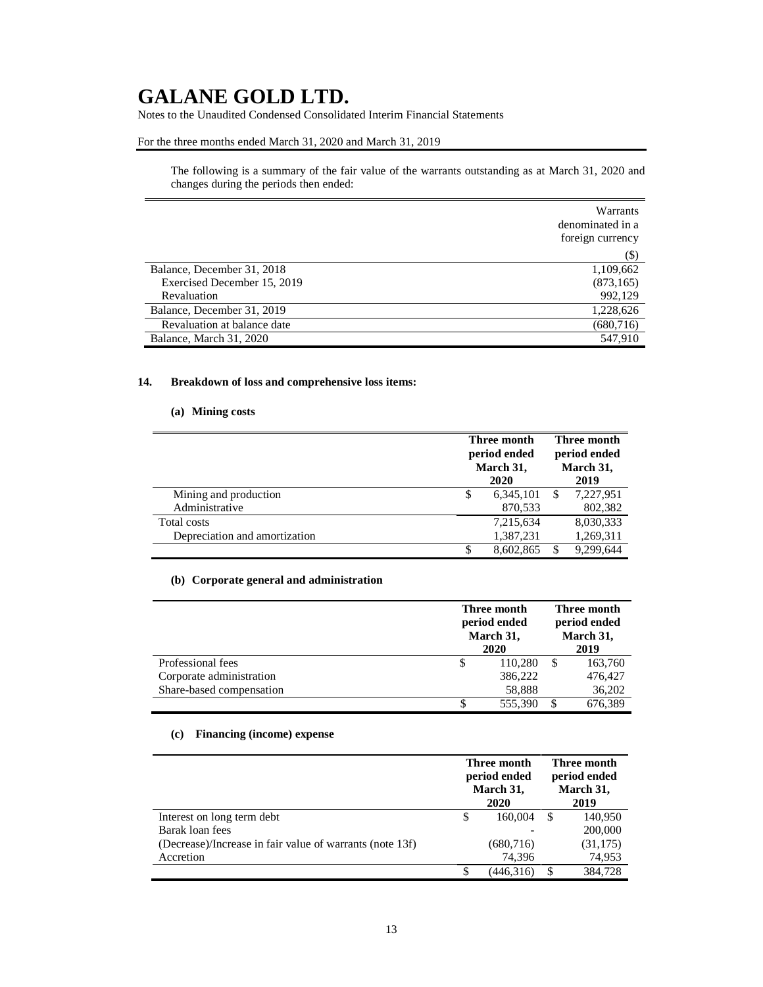Notes to the Unaudited Condensed Consolidated Interim Financial Statements

### For the three months ended March 31, 2020 and March 31, 2019

The following is a summary of the fair value of the warrants outstanding as at March 31, 2020 and changes during the periods then ended:

|                             | Warrants<br>denominated in a<br>foreign currency |
|-----------------------------|--------------------------------------------------|
|                             | $(\$)$                                           |
| Balance, December 31, 2018  | 1,109,662                                        |
| Exercised December 15, 2019 | (873, 165)                                       |
| Revaluation                 | 992,129                                          |
| Balance, December 31, 2019  | 1,228,626                                        |
| Revaluation at balance date | (680, 716)                                       |
| Balance, March 31, 2020     | 547.910                                          |

### **14. Breakdown of loss and comprehensive loss items:**

### **(a) Mining costs**

|                               |    | Three month<br>period ended<br>March 31, |  | Three month<br>period ended<br>March 31, |  |
|-------------------------------|----|------------------------------------------|--|------------------------------------------|--|
|                               |    | 2020                                     |  | 2019                                     |  |
| Mining and production         | \$ | 6,345,101                                |  | 7.227.951                                |  |
| Administrative                |    | 870,533                                  |  | 802,382                                  |  |
| Total costs                   |    | 7,215,634                                |  | 8,030,333                                |  |
| Depreciation and amortization |    | 1,387,231                                |  | 1,269,311                                |  |
|                               | S  | 8.602.865                                |  | 9.299.644                                |  |

### **(b) Corporate general and administration**

|                          |    | Three month<br>period ended<br>March 31,<br>2020 | Three month<br>period ended<br>March 31,<br>2019 |
|--------------------------|----|--------------------------------------------------|--------------------------------------------------|
| Professional fees        | \$ | 110,280                                          | 163,760                                          |
| Corporate administration |    | 386,222                                          | 476,427                                          |
| Share-based compensation |    | 58.888                                           | 36,202                                           |
|                          | S  | 555,390                                          | 676,389                                          |

### **(c) Financing (income) expense**

|                                                          | Three month<br>period ended<br>March 31,<br>2020 |            | Three month<br>period ended<br>March 31,<br>2019 |           |
|----------------------------------------------------------|--------------------------------------------------|------------|--------------------------------------------------|-----------|
| Interest on long term debt                               | S                                                | 160,004    | -S                                               | 140.950   |
| Barak loan fees                                          |                                                  |            |                                                  | 200,000   |
| (Decrease)/Increase in fair value of warrants (note 13f) |                                                  | (680, 716) |                                                  | (31, 175) |
| Accretion                                                |                                                  | 74.396     |                                                  | 74,953    |
|                                                          |                                                  | (446,316)  |                                                  | 384,728   |